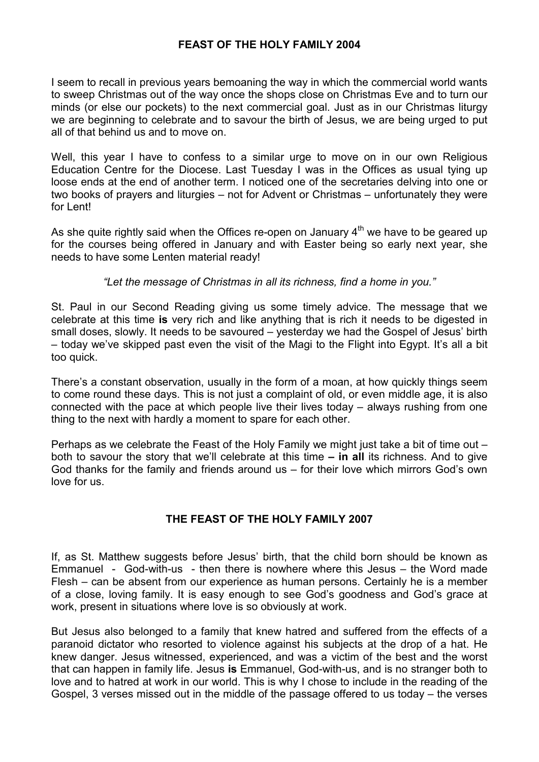## **FEAST OF THE HOLY FAMILY 2004**

I seem to recall in previous years bemoaning the way in which the commercial world wants to sweep Christmas out of the way once the shops close on Christmas Eve and to turn our minds (or else our pockets) to the next commercial goal. Just as in our Christmas liturgy we are beginning to celebrate and to savour the birth of Jesus, we are being urged to put all of that behind us and to move on.

Well, this year I have to confess to a similar urge to move on in our own Religious Education Centre for the Diocese. Last Tuesday I was in the Offices as usual tying up loose ends at the end of another term. I noticed one of the secretaries delving into one or two books of prayers and liturgies – not for Advent or Christmas – unfortunately they were for Lent!

As she quite rightly said when the Offices re-open on January  $4<sup>th</sup>$  we have to be geared up for the courses being offered in January and with Easter being so early next year, she needs to have some Lenten material ready!

*"Let the message of Christmas in all its richness, find a home in you."*

St. Paul in our Second Reading giving us some timely advice. The message that we celebrate at this time **is** very rich and like anything that is rich it needs to be digested in small doses, slowly. It needs to be savoured – yesterday we had the Gospel of Jesus' birth – today we've skipped past even the visit of the Magi to the Flight into Egypt. It's all a bit too quick.

There's a constant observation, usually in the form of a moan, at how quickly things seem to come round these days. This is not just a complaint of old, or even middle age, it is also connected with the pace at which people live their lives today – always rushing from one thing to the next with hardly a moment to spare for each other.

Perhaps as we celebrate the Feast of the Holy Family we might just take a bit of time out – both to savour the story that we'll celebrate at this time **– in all** its richness. And to give God thanks for the family and friends around us – for their love which mirrors God's own love for us.

## **THE FEAST OF THE HOLY FAMILY 2007**

If, as St. Matthew suggests before Jesus' birth, that the child born should be known as Emmanuel - God-with-us - then there is nowhere where this Jesus – the Word made Flesh – can be absent from our experience as human persons. Certainly he is a member of a close, loving family. It is easy enough to see God's goodness and God's grace at work, present in situations where love is so obviously at work.

But Jesus also belonged to a family that knew hatred and suffered from the effects of a paranoid dictator who resorted to violence against his subjects at the drop of a hat. He knew danger. Jesus witnessed, experienced, and was a victim of the best and the worst that can happen in family life. Jesus **is** Emmanuel, God-with-us, and is no stranger both to love and to hatred at work in our world. This is why I chose to include in the reading of the Gospel, 3 verses missed out in the middle of the passage offered to us today – the verses